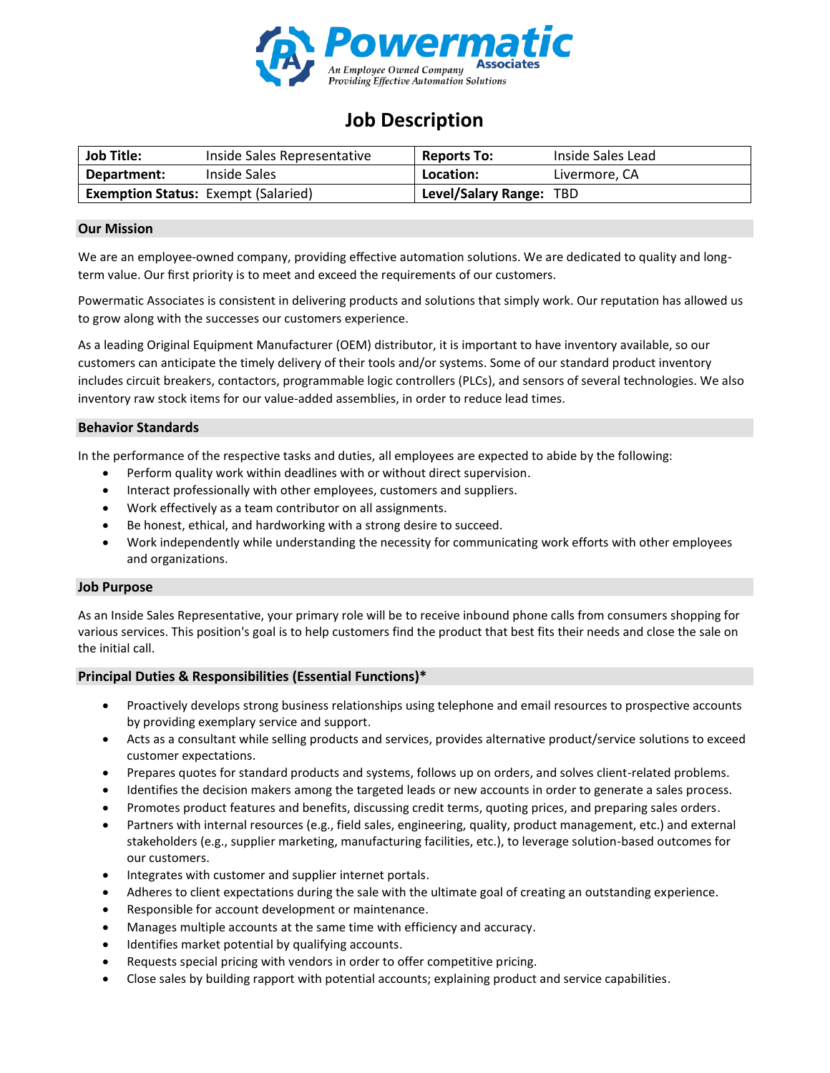

# **Job Description**

| <b>Job Title:</b>                          | Inside Sales Representative | <b>Reports To:</b>      | Inside Sales Lead |
|--------------------------------------------|-----------------------------|-------------------------|-------------------|
| Department:                                | Inside Sales                | Location:               | Livermore, CA     |
| <b>Exemption Status: Exempt (Salaried)</b> |                             | Level/Salary Range: TBD |                   |

## **Our Mission**

We are an employee-owned company, providing effective automation solutions. We are dedicated to quality and longterm value. Our first priority is to meet and exceed the requirements of our customers.

Powermatic Associates is consistent in delivering products and solutions that simply work. Our reputation has allowed us to grow along with the successes our customers experience.

As a leading Original Equipment Manufacturer (OEM) distributor, it is important to have inventory available, so our customers can anticipate the timely delivery of their tools and/or systems. Some of our standard product inventory includes circuit breakers, contactors, programmable logic controllers (PLCs), and sensors of several technologies. We also inventory raw stock items for our value-added assemblies, in order to reduce lead times.

### **Behavior Standards**

In the performance of the respective tasks and duties, all employees are expected to abide by the following:

- Perform quality work within deadlines with or without direct supervision.
- Interact professionally with other employees, customers and suppliers.
- Work effectively as a team contributor on all assignments.
- Be honest, ethical, and hardworking with a strong desire to succeed.
- Work independently while understanding the necessity for communicating work efforts with other employees and organizations.

#### **Job Purpose**

As an Inside Sales Representative, your primary role will be to receive inbound phone calls from consumers shopping for various services. This position's goal is to help customers find the product that best fits their needs and close the sale on the initial call.

#### **Principal Duties & Responsibilities (Essential Functions)\***

- Proactively develops strong business relationships using telephone and email resources to prospective accounts by providing exemplary service and support.
- Acts as a consultant while selling products and services, provides alternative product/service solutions to exceed customer expectations.
- Prepares quotes for standard products and systems, follows up on orders, and solves client-related problems.
- Identifies the decision makers among the targeted leads or new accounts in order to generate a sales process.
- Promotes product features and benefits, discussing credit terms, quoting prices, and preparing sales orders.
- Partners with internal resources (e.g., field sales, engineering, quality, product management, etc.) and external stakeholders (e.g., supplier marketing, manufacturing facilities, etc.), to leverage solution-based outcomes for our customers.
- Integrates with customer and supplier internet portals.
- Adheres to client expectations during the sale with the ultimate goal of creating an outstanding experience.
- Responsible for account development or maintenance.
- Manages multiple accounts at the same time with efficiency and accuracy.
- Identifies market potential by qualifying accounts.
- Requests special pricing with vendors in order to offer competitive pricing.
- Close sales by building rapport with potential accounts; explaining product and service capabilities.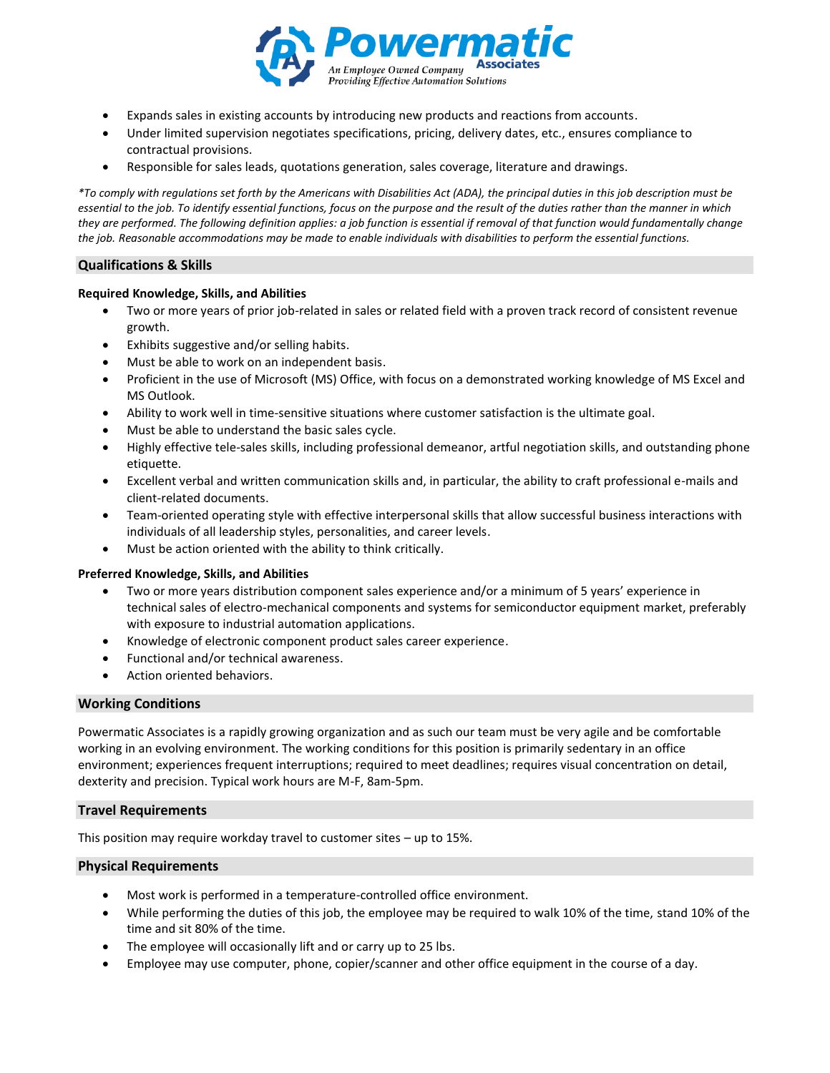

- Expands sales in existing accounts by introducing new products and reactions from accounts.
- Under limited supervision negotiates specifications, pricing, delivery dates, etc., ensures compliance to contractual provisions.
- Responsible for sales leads, quotations generation, sales coverage, literature and drawings.

*\*To comply with regulations set forth by the Americans with Disabilities Act (ADA), the principal duties in this job description must be essential to the job. To identify essential functions, focus on the purpose and the result of the duties rather than the manner in which they are performed. The following definition applies: a job function is essential if removal of that function would fundamentally change the job. Reasonable accommodations may be made to enable individuals with disabilities to perform the essential functions.*

## **Qualifications & Skills**

#### **Required Knowledge, Skills, and Abilities**

- Two or more years of prior job-related in sales or related field with a proven track record of consistent revenue growth.
- Exhibits suggestive and/or selling habits.
- Must be able to work on an independent basis.
- Proficient in the use of Microsoft (MS) Office, with focus on a demonstrated working knowledge of MS Excel and MS Outlook.
- Ability to work well in time-sensitive situations where customer satisfaction is the ultimate goal.
- Must be able to understand the basic sales cycle.
- Highly effective tele-sales skills, including professional demeanor, artful negotiation skills, and outstanding phone etiquette.
- Excellent verbal and written communication skills and, in particular, the ability to craft professional e-mails and client-related documents.
- Team-oriented operating style with effective interpersonal skills that allow successful business interactions with individuals of all leadership styles, personalities, and career levels.
- Must be action oriented with the ability to think critically.

#### **Preferred Knowledge, Skills, and Abilities**

- Two or more years distribution component sales experience and/or a minimum of 5 years' experience in technical sales of electro-mechanical components and systems for semiconductor equipment market, preferably with exposure to industrial automation applications.
- Knowledge of electronic component product sales career experience.
- Functional and/or technical awareness.
- Action oriented behaviors.

#### **Working Conditions**

Powermatic Associates is a rapidly growing organization and as such our team must be very agile and be comfortable working in an evolving environment. The working conditions for this position is primarily sedentary in an office environment; experiences frequent interruptions; required to meet deadlines; requires visual concentration on detail, dexterity and precision. Typical work hours are M-F, 8am-5pm.

#### **Travel Requirements**

This position may require workday travel to customer sites – up to 15%.

#### **Physical Requirements**

- Most work is performed in a temperature-controlled office environment.
- While performing the duties of this job, the employee may be required to walk 10% of the time, stand 10% of the time and sit 80% of the time.
- The employee will occasionally lift and or carry up to 25 lbs.
- Employee may use computer, phone, copier/scanner and other office equipment in the course of a day.